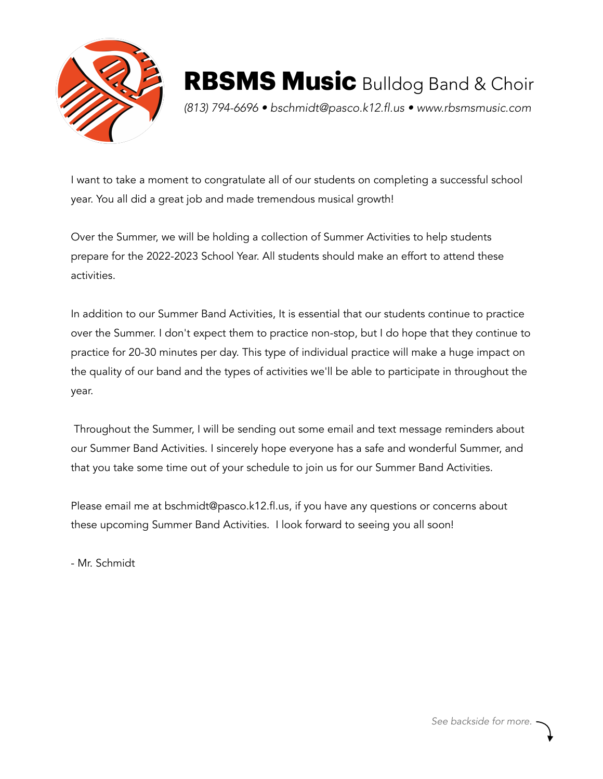

*(813) 794-6696 • bschmidt@pasco.k12.fl.us • www.rbsmsmusic.com*

I want to take a moment to congratulate all of our students on completing a successful school year. You all did a great job and made tremendous musical growth!

Over the Summer, we will be holding a collection of Summer Activities to help students prepare for the 2022-2023 School Year. All students should make an effort to attend these activities.

In addition to our Summer Band Activities, It is essential that our students continue to practice over the Summer. I don't expect them to practice non-stop, but I do hope that they continue to practice for 20-30 minutes per day. This type of individual practice will make a huge impact on the quality of our band and the types of activities we'll be able to participate in throughout the year.

 Throughout the Summer, I will be sending out some email and text message reminders about our Summer Band Activities. I sincerely hope everyone has a safe and wonderful Summer, and that you take some time out of your schedule to join us for our Summer Band Activities.

Please email me at bschmidt@pasco.k12.fl.us, if you have any questions or concerns about these upcoming Summer Band Activities. I look forward to seeing you all soon!

- Mr. Schmidt

*See backside for more.*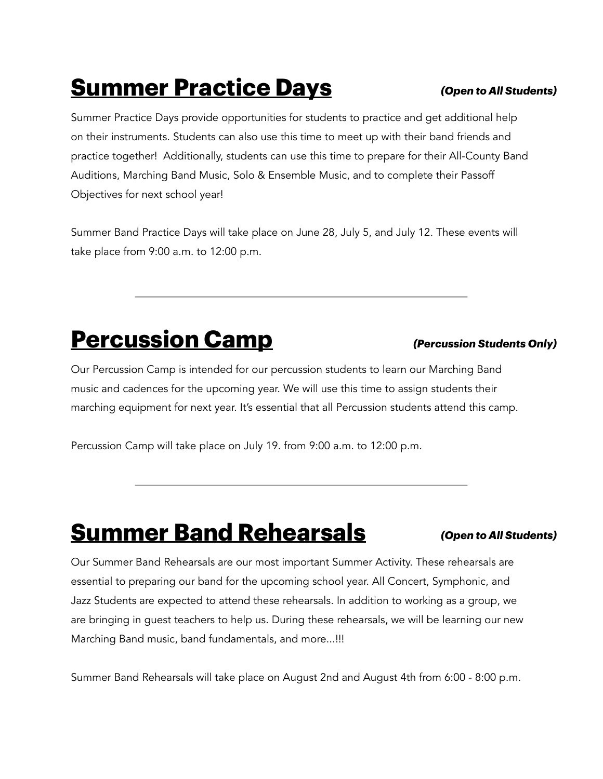## **Summer Practice Days**

Summer Practice Days provide opportunities for students to practice and get additional help on their instruments. Students can also use this time to meet up with their band friends and practice together! Additionally, students can use this time to prepare for their All-County Band Auditions, Marching Band Music, Solo & Ensemble Music, and to complete their Passoff Objectives for next school year!

Summer Band Practice Days will take place on June 28, July 5, and July 12. These events will take place from 9:00 a.m. to 12:00 p.m.

### **Percussion Camp**

Our Percussion Camp is intended for our percussion students to learn our Marching Band music and cadences for the upcoming year. We will use this time to assign students their marching equipment for next year. It's essential that all Percussion students attend this camp.

Percussion Camp will take place on July 19. from 9:00 a.m. to 12:00 p.m.

## **Summer Band Rehearsals**

#### *(Open to All Students)*

Our Summer Band Rehearsals are our most important Summer Activity. These rehearsals are essential to preparing our band for the upcoming school year. All Concert, Symphonic, and Jazz Students are expected to attend these rehearsals. In addition to working as a group, we are bringing in guest teachers to help us. During these rehearsals, we will be learning our new Marching Band music, band fundamentals, and more...!!!

Summer Band Rehearsals will take place on August 2nd and August 4th from 6:00 - 8:00 p.m.

#### *(Open to All Students)*

*(Percussion Students Only)*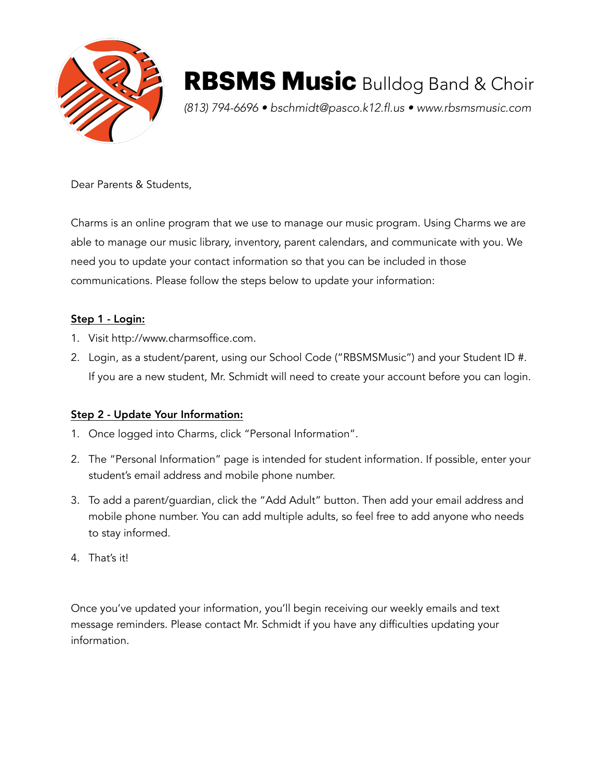

*(813) 794-6696 • bschmidt@pasco.k12.fl.us • www.rbsmsmusic.com*

Dear Parents & Students,

Charms is an online program that we use to manage our music program. Using Charms we are able to manage our music library, inventory, parent calendars, and communicate with you. We need you to update your contact information so that you can be included in those communications. Please follow the steps below to update your information:

#### Step 1 - Login:

- 1. Visit http://www.charmsoffice.com.
- 2. Login, as a student/parent, using our School Code ("RBSMSMusic") and your Student ID #. If you are a new student, Mr. Schmidt will need to create your account before you can login.

#### Step 2 - Update Your Information:

- 1. Once logged into Charms, click "Personal Information".
- 2. The "Personal Information" page is intended for student information. If possible, enter your student's email address and mobile phone number.
- 3. To add a parent/guardian, click the "Add Adult" button. Then add your email address and mobile phone number. You can add multiple adults, so feel free to add anyone who needs to stay informed.
- 4. That's it!

Once you've updated your information, you'll begin receiving our weekly emails and text message reminders. Please contact Mr. Schmidt if you have any difficulties updating your information.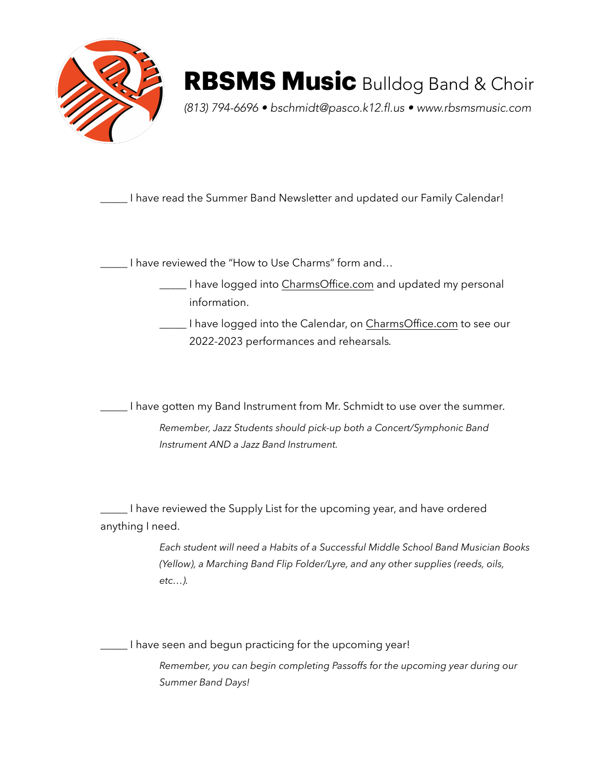

*(813) 794-6696 • bschmidt@pasco.k12.fl.us • www.rbsmsmusic.com*

\_\_\_\_\_ I have read the Summer Band Newsletter and updated our Family Calendar!

\_\_\_\_\_ I have reviewed the "How to Use Charms" form and…

- **\_\_\_\_** I have logged into [CharmsOffice.com](http://CharmsOffice.com) and updated my personal information.
- \_\_\_\_\_ I have logged into the Calendar, on [CharmsOffice.com](http://CharmsOffice.com) to see our 2022-2023 performances and rehearsals*.*

\_\_\_\_\_ I have gotten my Band Instrument from Mr. Schmidt to use over the summer.

*Remember, Jazz Students should pick-up both a Concert/Symphonic Band Instrument AND a Jazz Band Instrument.*

\_\_\_\_\_ I have reviewed the Supply List for the upcoming year, and have ordered anything I need.

> *Each student will need a Habits of a Successful Middle School Band Musician Books (Yellow), a Marching Band Flip Folder/Lyre, and any other supplies (reeds, oils, etc…).*

\_\_\_\_\_ I have seen and begun practicing for the upcoming year!

*Remember, you can begin completing Passoffs for the upcoming year during our Summer Band Days!*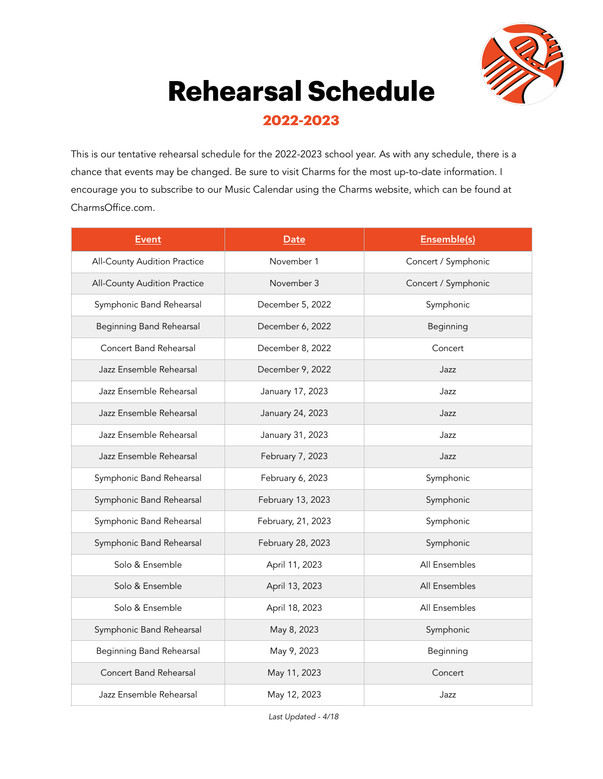

# **Rehearsal Schedule**

**2022-2023**

This is our tentative rehearsal schedule for the 2022-2023 school year. As with any schedule, there is a chance that events may be changed. Be sure to visit Charms for the most up-to-date information. I encourage you to subscribe to our Music Calendar using the Charms website, which can be found at CharmsOffice.com.

| <b>Event</b>                    | Date               | Ensemble(s)         |
|---------------------------------|--------------------|---------------------|
| All-County Audition Practice    | November 1         | Concert / Symphonic |
| All-County Audition Practice    | November 3         | Concert / Symphonic |
| Symphonic Band Rehearsal        | December 5, 2022   | Symphonic           |
| <b>Beginning Band Rehearsal</b> | December 6, 2022   | Beginning           |
| Concert Band Rehearsal          | December 8, 2022   | Concert             |
| Jazz Ensemble Rehearsal         | December 9, 2022   | Jazz                |
| Jazz Ensemble Rehearsal         | January 17, 2023   | Jazz                |
| Jazz Ensemble Rehearsal         | January 24, 2023   | Jazz                |
| Jazz Ensemble Rehearsal         | January 31, 2023   | Jazz                |
| Jazz Ensemble Rehearsal         | February 7, 2023   | Jazz                |
| Symphonic Band Rehearsal        | February 6, 2023   | Symphonic           |
| Symphonic Band Rehearsal        | February 13, 2023  | Symphonic           |
| Symphonic Band Rehearsal        | February, 21, 2023 | Symphonic           |
| Symphonic Band Rehearsal        | February 28, 2023  | Symphonic           |
| Solo & Ensemble                 | April 11, 2023     | All Ensembles       |
| Solo & Ensemble                 | April 13, 2023     | All Ensembles       |
| Solo & Ensemble                 | April 18, 2023     | All Ensembles       |
| Symphonic Band Rehearsal        | May 8, 2023        | Symphonic           |
| <b>Beginning Band Rehearsal</b> | May 9, 2023        | Beginning           |
| <b>Concert Band Rehearsal</b>   | May 11, 2023       | Concert             |
| Jazz Ensemble Rehearsal         | May 12, 2023       | Jazz                |

*Last Updated - 4/18*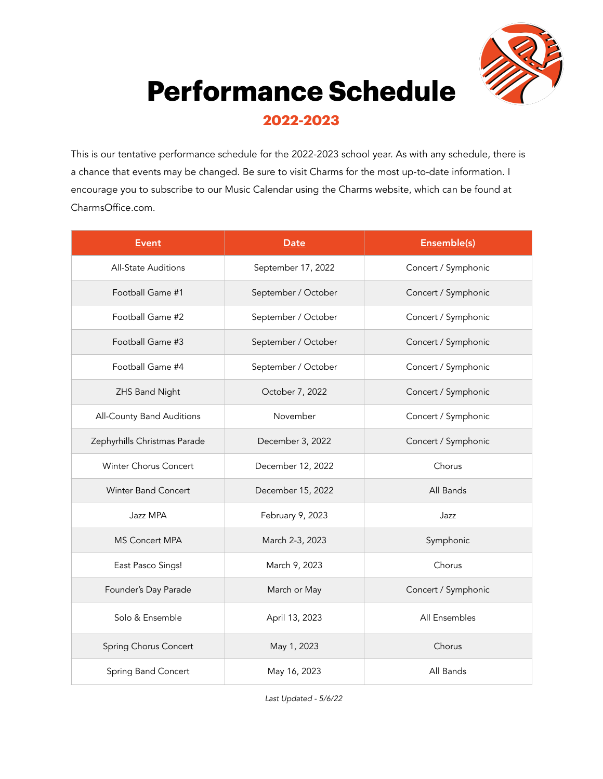

## **Performance Schedule**

### **2022-2023**

This is our tentative performance schedule for the 2022-2023 school year. As with any schedule, there is a chance that events may be changed. Be sure to visit Charms for the most up-to-date information. I encourage you to subscribe to our Music Calendar using the Charms website, which can be found at CharmsOffice.com.

| <b>Event</b>                 | <b>Date</b>         | Ensemble(s)         |
|------------------------------|---------------------|---------------------|
| All-State Auditions          | September 17, 2022  | Concert / Symphonic |
| Football Game #1             | September / October | Concert / Symphonic |
| Football Game #2             | September / October | Concert / Symphonic |
| Football Game #3             | September / October | Concert / Symphonic |
| Football Game #4             | September / October | Concert / Symphonic |
| ZHS Band Night               | October 7, 2022     | Concert / Symphonic |
| All-County Band Auditions    | November            | Concert / Symphonic |
| Zephyrhills Christmas Parade | December 3, 2022    | Concert / Symphonic |
| Winter Chorus Concert        | December 12, 2022   | Chorus              |
| Winter Band Concert          | December 15, 2022   | All Bands           |
| Jazz MPA                     | February 9, 2023    | Jazz                |
| MS Concert MPA               | March 2-3, 2023     | Symphonic           |
| East Pasco Sings!            | March 9, 2023       | Chorus              |
| Founder's Day Parade         | March or May        | Concert / Symphonic |
| Solo & Ensemble              | April 13, 2023      | All Ensembles       |
| Spring Chorus Concert        | May 1, 2023         | Chorus              |
| Spring Band Concert          | May 16, 2023        | All Bands           |

*Last Updated - 5/6/22*